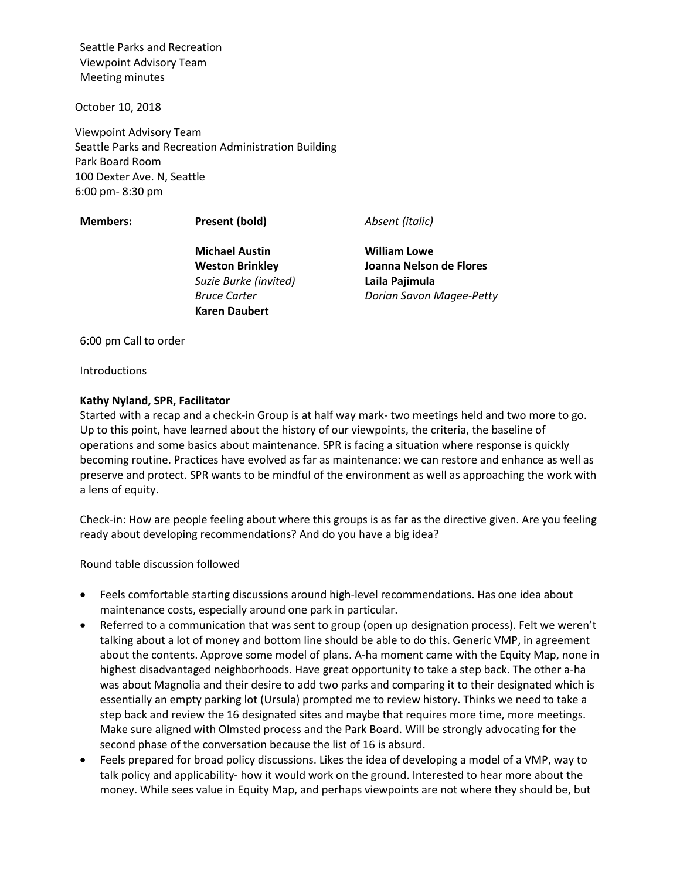Seattle Parks and Recreation Viewpoint Advisory Team Meeting minutes

October 10, 2018

Viewpoint Advisory Team Seattle Parks and Recreation Administration Building Park Board Room 100 Dexter Ave. N, Seattle 6:00 pm- 8:30 pm

**Members: Present (bold)** *Absent (italic)*

**Michael Austin Weston Brinkley** *Suzie Burke (invited) Bruce Carter* **Karen Daubert**

**William Lowe Joanna Nelson de Flores Laila Pajimula** *Dorian Savon Magee-Petty*

6:00 pm Call to order

Introductions

#### **Kathy Nyland, SPR, Facilitator**

Started with a recap and a check-in Group is at half way mark- two meetings held and two more to go. Up to this point, have learned about the history of our viewpoints, the criteria, the baseline of operations and some basics about maintenance. SPR is facing a situation where response is quickly becoming routine. Practices have evolved as far as maintenance: we can restore and enhance as well as preserve and protect. SPR wants to be mindful of the environment as well as approaching the work with a lens of equity.

Check-in: How are people feeling about where this groups is as far as the directive given. Are you feeling ready about developing recommendations? And do you have a big idea?

Round table discussion followed

- Feels comfortable starting discussions around high-level recommendations. Has one idea about maintenance costs, especially around one park in particular.
- Referred to a communication that was sent to group (open up designation process). Felt we weren't talking about a lot of money and bottom line should be able to do this. Generic VMP, in agreement about the contents. Approve some model of plans. A-ha moment came with the Equity Map, none in highest disadvantaged neighborhoods. Have great opportunity to take a step back. The other a-ha was about Magnolia and their desire to add two parks and comparing it to their designated which is essentially an empty parking lot (Ursula) prompted me to review history. Thinks we need to take a step back and review the 16 designated sites and maybe that requires more time, more meetings. Make sure aligned with Olmsted process and the Park Board. Will be strongly advocating for the second phase of the conversation because the list of 16 is absurd.
- Feels prepared for broad policy discussions. Likes the idea of developing a model of a VMP, way to talk policy and applicability- how it would work on the ground. Interested to hear more about the money. While sees value in Equity Map, and perhaps viewpoints are not where they should be, but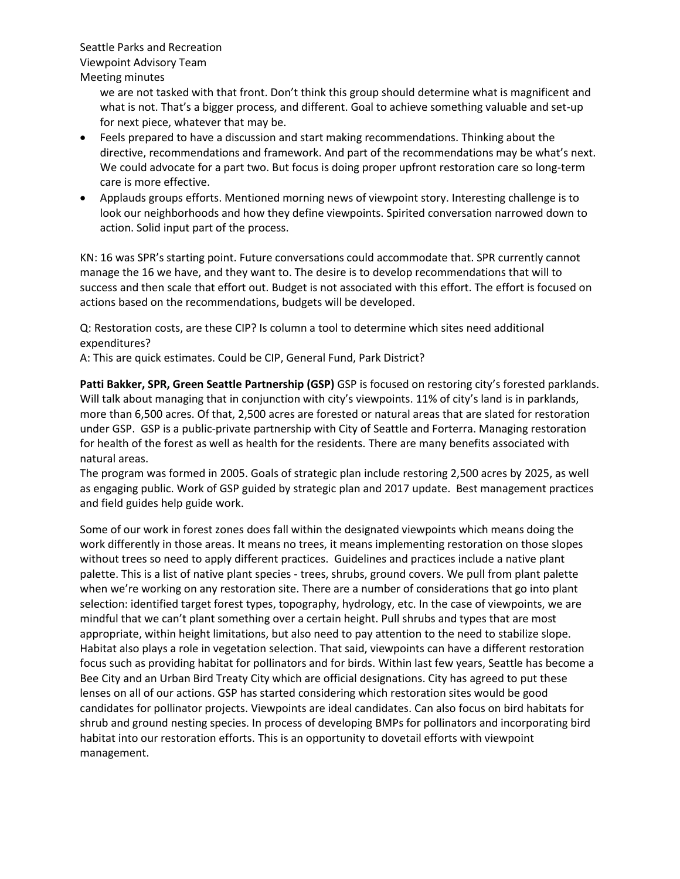Seattle Parks and Recreation Viewpoint Advisory Team Meeting minutes

> we are not tasked with that front. Don't think this group should determine what is magnificent and what is not. That's a bigger process, and different. Goal to achieve something valuable and set-up for next piece, whatever that may be.

- Feels prepared to have a discussion and start making recommendations. Thinking about the directive, recommendations and framework. And part of the recommendations may be what's next. We could advocate for a part two. But focus is doing proper upfront restoration care so long-term care is more effective.
- Applauds groups efforts. Mentioned morning news of viewpoint story. Interesting challenge is to look our neighborhoods and how they define viewpoints. Spirited conversation narrowed down to action. Solid input part of the process.

KN: 16 was SPR's starting point. Future conversations could accommodate that. SPR currently cannot manage the 16 we have, and they want to. The desire is to develop recommendations that will to success and then scale that effort out. Budget is not associated with this effort. The effort is focused on actions based on the recommendations, budgets will be developed.

Q: Restoration costs, are these CIP? Is column a tool to determine which sites need additional expenditures?

A: This are quick estimates. Could be CIP, General Fund, Park District?

**Patti Bakker, SPR, Green Seattle Partnership (GSP)** GSP is focused on restoring city's forested parklands. Will talk about managing that in conjunction with city's viewpoints. 11% of city's land is in parklands, more than 6,500 acres. Of that, 2,500 acres are forested or natural areas that are slated for restoration under GSP. GSP is a public-private partnership with City of Seattle and Forterra. Managing restoration for health of the forest as well as health for the residents. There are many benefits associated with natural areas.

The program was formed in 2005. Goals of strategic plan include restoring 2,500 acres by 2025, as well as engaging public. Work of GSP guided by strategic plan and 2017 update. Best management practices and field guides help guide work.

Some of our work in forest zones does fall within the designated viewpoints which means doing the work differently in those areas. It means no trees, it means implementing restoration on those slopes without trees so need to apply different practices. Guidelines and practices include a native plant palette. This is a list of native plant species - trees, shrubs, ground covers. We pull from plant palette when we're working on any restoration site. There are a number of considerations that go into plant selection: identified target forest types, topography, hydrology, etc. In the case of viewpoints, we are mindful that we can't plant something over a certain height. Pull shrubs and types that are most appropriate, within height limitations, but also need to pay attention to the need to stabilize slope. Habitat also plays a role in vegetation selection. That said, viewpoints can have a different restoration focus such as providing habitat for pollinators and for birds. Within last few years, Seattle has become a Bee City and an Urban Bird Treaty City which are official designations. City has agreed to put these lenses on all of our actions. GSP has started considering which restoration sites would be good candidates for pollinator projects. Viewpoints are ideal candidates. Can also focus on bird habitats for shrub and ground nesting species. In process of developing BMPs for pollinators and incorporating bird habitat into our restoration efforts. This is an opportunity to dovetail efforts with viewpoint management.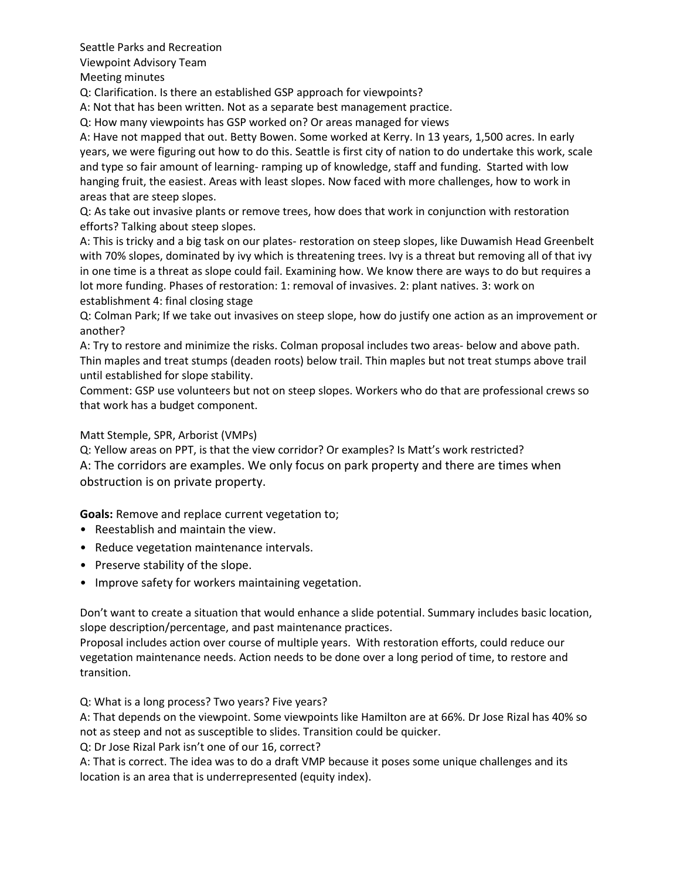Viewpoint Advisory Team

Meeting minutes

Q: Clarification. Is there an established GSP approach for viewpoints?

A: Not that has been written. Not as a separate best management practice.

Q: How many viewpoints has GSP worked on? Or areas managed for views

A: Have not mapped that out. Betty Bowen. Some worked at Kerry. In 13 years, 1,500 acres. In early years, we were figuring out how to do this. Seattle is first city of nation to do undertake this work, scale and type so fair amount of learning- ramping up of knowledge, staff and funding. Started with low hanging fruit, the easiest. Areas with least slopes. Now faced with more challenges, how to work in areas that are steep slopes.

Q: As take out invasive plants or remove trees, how does that work in conjunction with restoration efforts? Talking about steep slopes.

A: This is tricky and a big task on our plates- restoration on steep slopes, like Duwamish Head Greenbelt with 70% slopes, dominated by ivy which is threatening trees. Ivy is a threat but removing all of that ivy in one time is a threat as slope could fail. Examining how. We know there are ways to do but requires a lot more funding. Phases of restoration: 1: removal of invasives. 2: plant natives. 3: work on establishment 4: final closing stage

Q: Colman Park; If we take out invasives on steep slope, how do justify one action as an improvement or another?

A: Try to restore and minimize the risks. Colman proposal includes two areas- below and above path. Thin maples and treat stumps (deaden roots) below trail. Thin maples but not treat stumps above trail until established for slope stability.

Comment: GSP use volunteers but not on steep slopes. Workers who do that are professional crews so that work has a budget component.

Matt Stemple, SPR, Arborist (VMPs)

Q: Yellow areas on PPT, is that the view corridor? Or examples? Is Matt's work restricted? A: The corridors are examples. We only focus on park property and there are times when obstruction is on private property.

**Goals:** Remove and replace current vegetation to;

- Reestablish and maintain the view.
- Reduce vegetation maintenance intervals.
- Preserve stability of the slope.
- Improve safety for workers maintaining vegetation.

Don't want to create a situation that would enhance a slide potential. Summary includes basic location, slope description/percentage, and past maintenance practices.

Proposal includes action over course of multiple years. With restoration efforts, could reduce our vegetation maintenance needs. Action needs to be done over a long period of time, to restore and transition.

Q: What is a long process? Two years? Five years?

A: That depends on the viewpoint. Some viewpoints like Hamilton are at 66%. Dr Jose Rizal has 40% so not as steep and not as susceptible to slides. Transition could be quicker.

Q: Dr Jose Rizal Park isn't one of our 16, correct?

A: That is correct. The idea was to do a draft VMP because it poses some unique challenges and its location is an area that is underrepresented (equity index).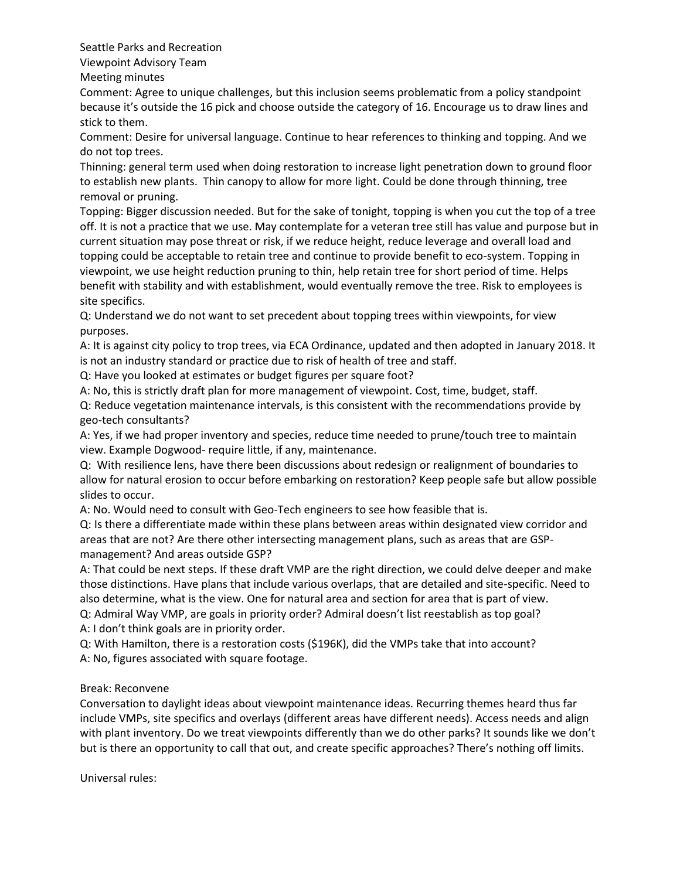Viewpoint Advisory Team

Meeting minutes

Comment: Agree to unique challenges, but this inclusion seems problematic from a policy standpoint because it's outside the 16 pick and choose outside the category of 16. Encourage us to draw lines and stick to them.

Comment: Desire for universal language. Continue to hear references to thinking and topping. And we do not top trees.

Thinning: general term used when doing restoration to increase light penetration down to ground floor to establish new plants. Thin canopy to allow for more light. Could be done through thinning, tree removal or pruning.

Topping: Bigger discussion needed. But for the sake of tonight, topping is when you cut the top of a tree off. It is not a practice that we use. May contemplate for a veteran tree still has value and purpose but in current situation may pose threat or risk, if we reduce height, reduce leverage and overall load and topping could be acceptable to retain tree and continue to provide benefit to eco-system. Topping in viewpoint, we use height reduction pruning to thin, help retain tree for short period of time. Helps benefit with stability and with establishment, would eventually remove the tree. Risk to employees is site specifics.

Q: Understand we do not want to set precedent about topping trees within viewpoints, for view purposes.

A: It is against city policy to trop trees, via ECA Ordinance, updated and then adopted in January 2018. It is not an industry standard or practice due to risk of health of tree and staff.

Q: Have you looked at estimates or budget figures per square foot?

A: No, this is strictly draft plan for more management of viewpoint. Cost, time, budget, staff.

Q: Reduce vegetation maintenance intervals, is this consistent with the recommendations provide by geo-tech consultants?

A: Yes, if we had proper inventory and species, reduce time needed to prune/touch tree to maintain view. Example Dogwood- require little, if any, maintenance.

Q: With resilience lens, have there been discussions about redesign or realignment of boundaries to allow for natural erosion to occur before embarking on restoration? Keep people safe but allow possible slides to occur.

A: No. Would need to consult with Geo-Tech engineers to see how feasible that is.

Q: Is there a differentiate made within these plans between areas within designated view corridor and areas that are not? Are there other intersecting management plans, such as areas that are GSPmanagement? And areas outside GSP?

A: That could be next steps. If these draft VMP are the right direction, we could delve deeper and make those distinctions. Have plans that include various overlaps, that are detailed and site-specific. Need to also determine, what is the view. One for natural area and section for area that is part of view.

Q: Admiral Way VMP, are goals in priority order? Admiral doesn't list reestablish as top goal? A: I don't think goals are in priority order.

Q: With Hamilton, there is a restoration costs (\$196K), did the VMPs take that into account? A: No, figures associated with square footage.

## Break: Reconvene

Conversation to daylight ideas about viewpoint maintenance ideas. Recurring themes heard thus far include VMPs, site specifics and overlays (different areas have different needs). Access needs and align with plant inventory. Do we treat viewpoints differently than we do other parks? It sounds like we don't but is there an opportunity to call that out, and create specific approaches? There's nothing off limits.

Universal rules: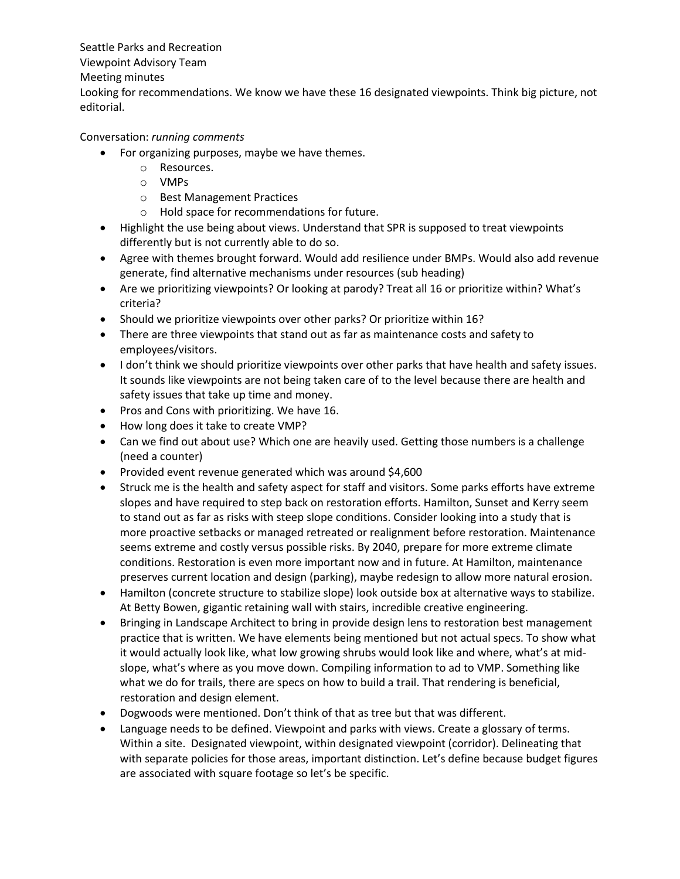#### Viewpoint Advisory Team

#### Meeting minutes

Looking for recommendations. We know we have these 16 designated viewpoints. Think big picture, not editorial.

### Conversation: *running comments*

- For organizing purposes, maybe we have themes.
	- o Resources.
	- o VMPs
	- o Best Management Practices
	- o Hold space for recommendations for future.
- Highlight the use being about views. Understand that SPR is supposed to treat viewpoints differently but is not currently able to do so.
- Agree with themes brought forward. Would add resilience under BMPs. Would also add revenue generate, find alternative mechanisms under resources (sub heading)
- Are we prioritizing viewpoints? Or looking at parody? Treat all 16 or prioritize within? What's criteria?
- Should we prioritize viewpoints over other parks? Or prioritize within 16?
- There are three viewpoints that stand out as far as maintenance costs and safety to employees/visitors.
- I don't think we should prioritize viewpoints over other parks that have health and safety issues. It sounds like viewpoints are not being taken care of to the level because there are health and safety issues that take up time and money.
- Pros and Cons with prioritizing. We have 16.
- How long does it take to create VMP?
- Can we find out about use? Which one are heavily used. Getting those numbers is a challenge (need a counter)
- Provided event revenue generated which was around \$4,600
- Struck me is the health and safety aspect for staff and visitors. Some parks efforts have extreme slopes and have required to step back on restoration efforts. Hamilton, Sunset and Kerry seem to stand out as far as risks with steep slope conditions. Consider looking into a study that is more proactive setbacks or managed retreated or realignment before restoration. Maintenance seems extreme and costly versus possible risks. By 2040, prepare for more extreme climate conditions. Restoration is even more important now and in future. At Hamilton, maintenance preserves current location and design (parking), maybe redesign to allow more natural erosion.
- Hamilton (concrete structure to stabilize slope) look outside box at alternative ways to stabilize. At Betty Bowen, gigantic retaining wall with stairs, incredible creative engineering.
- Bringing in Landscape Architect to bring in provide design lens to restoration best management practice that is written. We have elements being mentioned but not actual specs. To show what it would actually look like, what low growing shrubs would look like and where, what's at midslope, what's where as you move down. Compiling information to ad to VMP. Something like what we do for trails, there are specs on how to build a trail. That rendering is beneficial, restoration and design element.
- Dogwoods were mentioned. Don't think of that as tree but that was different.
- Language needs to be defined. Viewpoint and parks with views. Create a glossary of terms. Within a site. Designated viewpoint, within designated viewpoint (corridor). Delineating that with separate policies for those areas, important distinction. Let's define because budget figures are associated with square footage so let's be specific.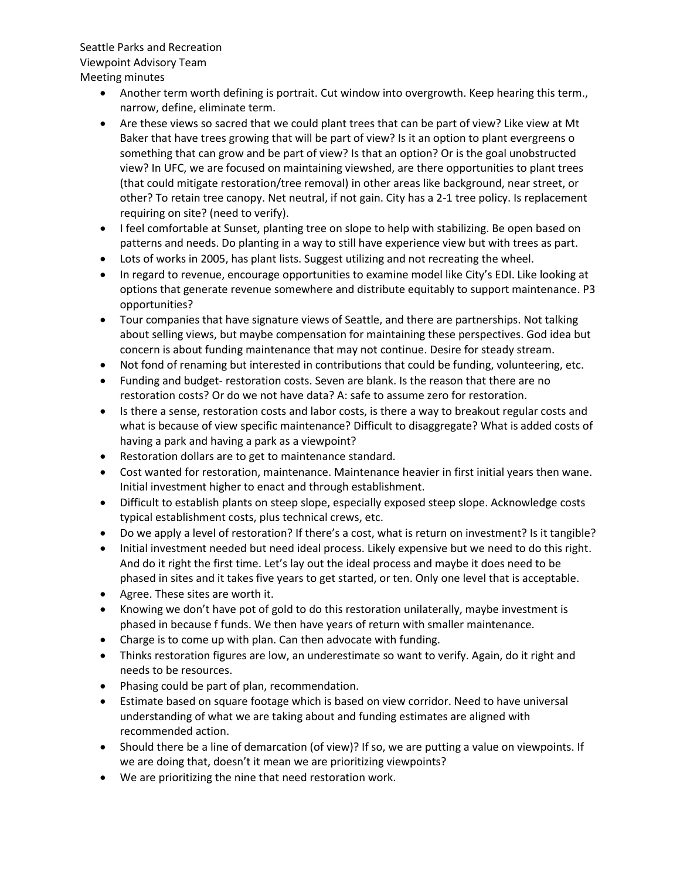#### Viewpoint Advisory Team

Meeting minutes

- Another term worth defining is portrait. Cut window into overgrowth. Keep hearing this term., narrow, define, eliminate term.
- Are these views so sacred that we could plant trees that can be part of view? Like view at Mt Baker that have trees growing that will be part of view? Is it an option to plant evergreens o something that can grow and be part of view? Is that an option? Or is the goal unobstructed view? In UFC, we are focused on maintaining viewshed, are there opportunities to plant trees (that could mitigate restoration/tree removal) in other areas like background, near street, or other? To retain tree canopy. Net neutral, if not gain. City has a 2-1 tree policy. Is replacement requiring on site? (need to verify).
- I feel comfortable at Sunset, planting tree on slope to help with stabilizing. Be open based on patterns and needs. Do planting in a way to still have experience view but with trees as part.
- Lots of works in 2005, has plant lists. Suggest utilizing and not recreating the wheel.
- In regard to revenue, encourage opportunities to examine model like City's EDI. Like looking at options that generate revenue somewhere and distribute equitably to support maintenance. P3 opportunities?
- Tour companies that have signature views of Seattle, and there are partnerships. Not talking about selling views, but maybe compensation for maintaining these perspectives. God idea but concern is about funding maintenance that may not continue. Desire for steady stream.
- Not fond of renaming but interested in contributions that could be funding, volunteering, etc.
- Funding and budget- restoration costs. Seven are blank. Is the reason that there are no restoration costs? Or do we not have data? A: safe to assume zero for restoration.
- Is there a sense, restoration costs and labor costs, is there a way to breakout regular costs and what is because of view specific maintenance? Difficult to disaggregate? What is added costs of having a park and having a park as a viewpoint?
- Restoration dollars are to get to maintenance standard.
- Cost wanted for restoration, maintenance. Maintenance heavier in first initial years then wane. Initial investment higher to enact and through establishment.
- Difficult to establish plants on steep slope, especially exposed steep slope. Acknowledge costs typical establishment costs, plus technical crews, etc.
- Do we apply a level of restoration? If there's a cost, what is return on investment? Is it tangible?
- Initial investment needed but need ideal process. Likely expensive but we need to do this right. And do it right the first time. Let's lay out the ideal process and maybe it does need to be phased in sites and it takes five years to get started, or ten. Only one level that is acceptable.
- Agree. These sites are worth it.
- Knowing we don't have pot of gold to do this restoration unilaterally, maybe investment is phased in because f funds. We then have years of return with smaller maintenance.
- Charge is to come up with plan. Can then advocate with funding.
- Thinks restoration figures are low, an underestimate so want to verify. Again, do it right and needs to be resources.
- Phasing could be part of plan, recommendation.
- Estimate based on square footage which is based on view corridor. Need to have universal understanding of what we are taking about and funding estimates are aligned with recommended action.
- Should there be a line of demarcation (of view)? If so, we are putting a value on viewpoints. If we are doing that, doesn't it mean we are prioritizing viewpoints?
- We are prioritizing the nine that need restoration work.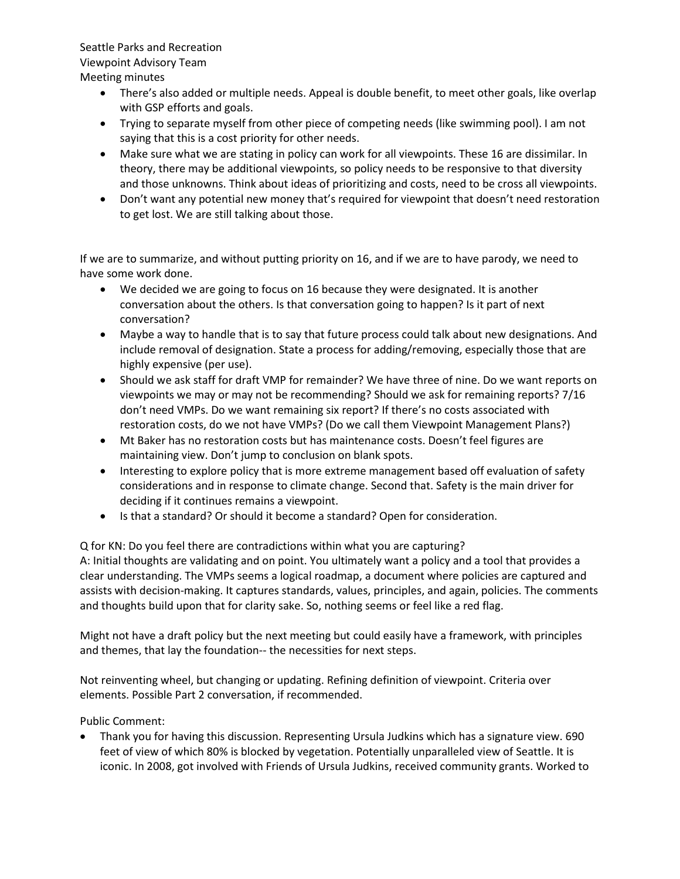Seattle Parks and Recreation Viewpoint Advisory Team

Meeting minutes

- There's also added or multiple needs. Appeal is double benefit, to meet other goals, like overlap with GSP efforts and goals.
- Trying to separate myself from other piece of competing needs (like swimming pool). I am not saying that this is a cost priority for other needs.
- Make sure what we are stating in policy can work for all viewpoints. These 16 are dissimilar. In theory, there may be additional viewpoints, so policy needs to be responsive to that diversity and those unknowns. Think about ideas of prioritizing and costs, need to be cross all viewpoints.
- Don't want any potential new money that's required for viewpoint that doesn't need restoration to get lost. We are still talking about those.

If we are to summarize, and without putting priority on 16, and if we are to have parody, we need to have some work done.

- We decided we are going to focus on 16 because they were designated. It is another conversation about the others. Is that conversation going to happen? Is it part of next conversation?
- Maybe a way to handle that is to say that future process could talk about new designations. And include removal of designation. State a process for adding/removing, especially those that are highly expensive (per use).
- Should we ask staff for draft VMP for remainder? We have three of nine. Do we want reports on viewpoints we may or may not be recommending? Should we ask for remaining reports? 7/16 don't need VMPs. Do we want remaining six report? If there's no costs associated with restoration costs, do we not have VMPs? (Do we call them Viewpoint Management Plans?)
- Mt Baker has no restoration costs but has maintenance costs. Doesn't feel figures are maintaining view. Don't jump to conclusion on blank spots.
- Interesting to explore policy that is more extreme management based off evaluation of safety considerations and in response to climate change. Second that. Safety is the main driver for deciding if it continues remains a viewpoint.
- Is that a standard? Or should it become a standard? Open for consideration.

Q for KN: Do you feel there are contradictions within what you are capturing?

A: Initial thoughts are validating and on point. You ultimately want a policy and a tool that provides a clear understanding. The VMPs seems a logical roadmap, a document where policies are captured and assists with decision-making. It captures standards, values, principles, and again, policies. The comments and thoughts build upon that for clarity sake. So, nothing seems or feel like a red flag.

Might not have a draft policy but the next meeting but could easily have a framework, with principles and themes, that lay the foundation-- the necessities for next steps.

Not reinventing wheel, but changing or updating. Refining definition of viewpoint. Criteria over elements. Possible Part 2 conversation, if recommended.

Public Comment:

• Thank you for having this discussion. Representing Ursula Judkins which has a signature view. 690 feet of view of which 80% is blocked by vegetation. Potentially unparalleled view of Seattle. It is iconic. In 2008, got involved with Friends of Ursula Judkins, received community grants. Worked to